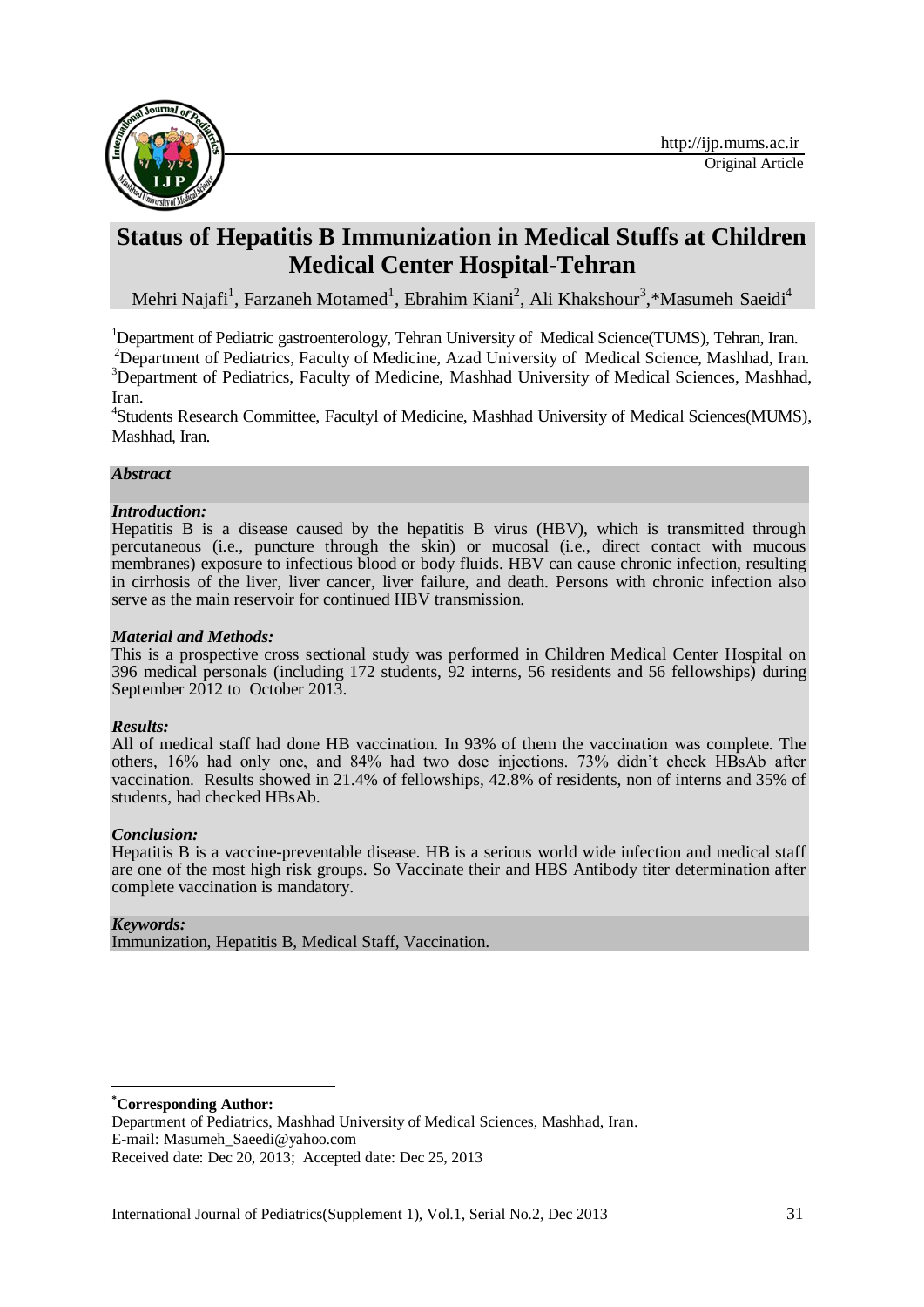

# **Status of Hepatitis B Immunization in Medical Stuffs at Children Medical Center Hospital-Tehran**

Mehri Najafi<sup>1</sup>, Farzaneh Motamed<sup>1</sup>, Ebrahim Kiani<sup>2</sup>, Ali Khakshour<sup>3</sup>,\*Masumeh Saeidi<sup>4</sup>

<sup>1</sup>Department of Pediatric gastroenterology, Tehran University of Medical Science(TUMS), Tehran, Iran. <sup>2</sup>Department of Pediatrics, Faculty of Medicine, Azad University of Medical Science, Mashhad, Iran. <sup>3</sup>Department of Pediatrics, Faculty of Medicine, Mashhad University of Medical Sciences, Mashhad, Iran.

4 Students Research Committee, Facultyl of Medicine, Mashhad University of Medical Sciences(MUMS), Mashhad, Iran.

#### *Abstract*

#### *Introduction:*

Hepatitis B is a disease caused by the hepatitis B virus (HBV), which is transmitted through percutaneous (i.e., puncture through the skin) or mucosal (i.e., direct contact with mucous membranes) exposure to infectious blood or body fluids. HBV can cause chronic infection, resulting in cirrhosis of the liver, liver cancer, liver failure, and death. Persons with chronic infection also serve as the main reservoir for continued HBV transmission.

#### *Material and Methods:*

This is a prospective cross sectional study was performed in Children Medical Center Hospital on 396 medical personals (including 172 students, 92 interns, 56 residents and 56 fellowships) during September 2012 to October 2013.

#### *Results:*

All of medical staff had done HB vaccination. In 93% of them the vaccination was complete. The others, 16% had only one, and 84% had two dose injections. 73% didn't check HBsAb after vaccination. Results showed in 21.4% of fellowships, 42.8% of residents, non of interns and 35% of students, had checked HBsAb.

#### *Conclusion:*

Hepatitis B is a vaccine-preventable disease. HB is a serious world wide infection and medical staff are one of the most high risk groups. So Vaccinate their and HBS Antibody titer determination after complete vaccination is mandatory.

#### *Keywords:*

Immunization, Hepatitis B, Medical Staff, Vaccination.

1 **\*Corresponding Author:**

E-mail: Masumeh\_Saeedi@yahoo.com

Department of Pediatrics, Mashhad University of Medical Sciences, Mashhad, Iran.

Received date: Dec 20, 2013; Accepted date: Dec 25, 2013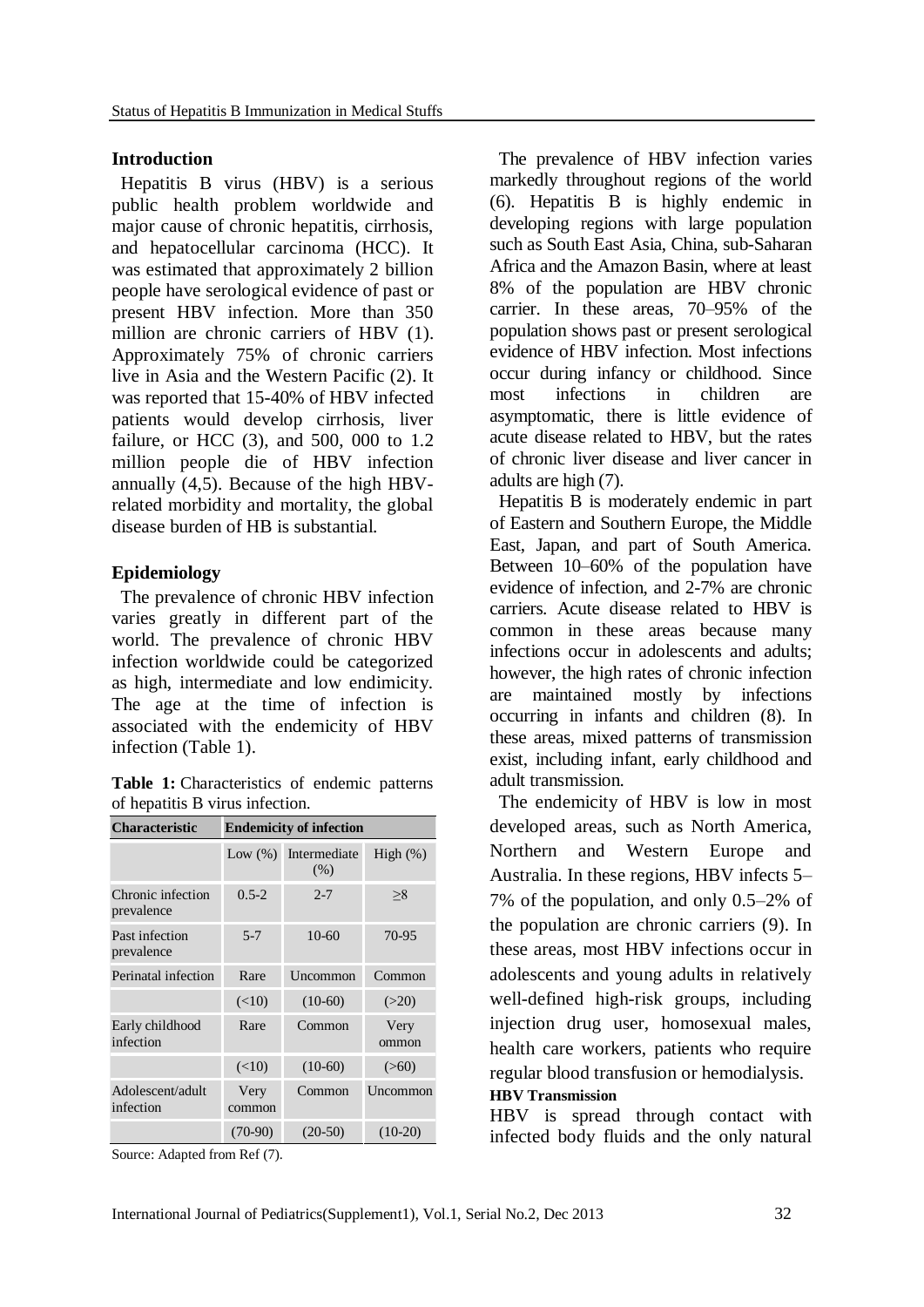### **Introduction**

Hepatitis B virus (HBV) is a serious public health problem worldwide and major cause of chronic hepatitis, cirrhosis, and hepatocellular carcinoma (HCC). It was estimated that approximately 2 billion people have serological evidence of past or present HBV infection. More than 350 million are chronic carriers of HBV (1). Approximately 75% of chronic carriers live in Asia and the Western Pacific (2). It was reported that 15-40% of HBV infected patients would develop cirrhosis, liver failure, or HCC (3), and 500, 000 to 1.2 million people die of HBV infection annually [\(4,](http://www.medsci.org/v02p0050.htm#B4)[5\)](http://www.medsci.org/v02p0050.htm#B5). Because of the high HBVrelated morbidity and mortality, the global disease burden of HB is substantial.

# **Epidemiology**

The prevalence of chronic HBV infection varies greatly in different part of the world. The prevalence of chronic HBV infection worldwide could be categorized as high, intermediate and low endimicity. The age at the time of infection is associated with the endemicity of HBV infection (Table [1\)](http://www.medsci.org/v02p0050.htm#T1).

|                                 |  |  |  |  | Table 1: Characteristics of endemic patterns |  |  |
|---------------------------------|--|--|--|--|----------------------------------------------|--|--|
| of hepatitis B virus infection. |  |  |  |  |                                              |  |  |

| <b>Characteristic</b>           | <b>Endemicity of infection</b> |                      |               |  |  |
|---------------------------------|--------------------------------|----------------------|---------------|--|--|
|                                 | Low $(\%)$                     | Intermediate<br>(% ) | High $(\%)$   |  |  |
| Chronic infection<br>prevalence | $0.5 - 2$                      | $2 - 7$              | >8            |  |  |
| Past infection<br>prevalence    | $5 - 7$                        | $10-60$              | 70-95         |  |  |
| Perinatal infection             | Rare                           | Uncommon             | Common        |  |  |
|                                 | (<10)                          | $(10-60)$            | (>20)         |  |  |
| Early childhood<br>infection    | Rare                           | Common               | Very<br>ommon |  |  |
|                                 | (<10)                          | $(10-60)$            | (>60)         |  |  |
| Adolescent/adult<br>infection   | Very<br>common                 | Common               | Uncommon      |  |  |
|                                 | $(70-90)$                      | $(20-50)$            | $(10-20)$     |  |  |

Source: Adapted from Ref [\(7\)](http://www.medsci.org/v02p0050.htm#B7).

The prevalence of HBV infection varies markedly throughout regions of the world [\(6\)](http://www.medsci.org/v02p0050.htm#B6). Hepatitis B is highly endemic in developing regions with large population such as South East Asia, China, sub-Saharan Africa and the Amazon Basin, where at least 8% of the population are HBV chronic carrier. In these areas, 70–95% of the population shows past or present serological evidence of HBV infection. Most infections occur during infancy or childhood. Since most infections in children are asymptomatic, there is little evidence of acute disease related to HBV, but the rates of chronic liver disease and liver cancer in adults are high [\(7\)](http://www.medsci.org/v02p0050.htm#B7).

Hepatitis B is moderately endemic in part of Eastern and Southern Europe, the Middle East, Japan, and part of South America. Between 10–60% of the population have evidence of infection, and 2-7% are chronic carriers. Acute disease related to HBV is common in these areas because many infections occur in adolescents and adults; however, the high rates of chronic infection are maintained mostly by infections occurring in infants and children [\(8\)](http://www.medsci.org/v02p0050.htm#B8). In these areas, mixed patterns of transmission exist, including infant, early childhood and adult transmission.

The endemicity of HBV is low in most developed areas, such as North America, Northern and Western Europe and Australia. In these regions, HBV infects 5– 7% of the population, and only 0.5–2% of the population are chronic carriers [\(9\)](http://www.medsci.org/v02p0050.htm#B9). In these areas, most HBV infections occur in adolescents and young adults in relatively well-defined high-risk groups, including injection drug user, homosexual males, health care workers, patients who require regular blood transfusion or hemodialysis. **HBV Transmission**

HBV is spread through contact with infected body fluids and the only natural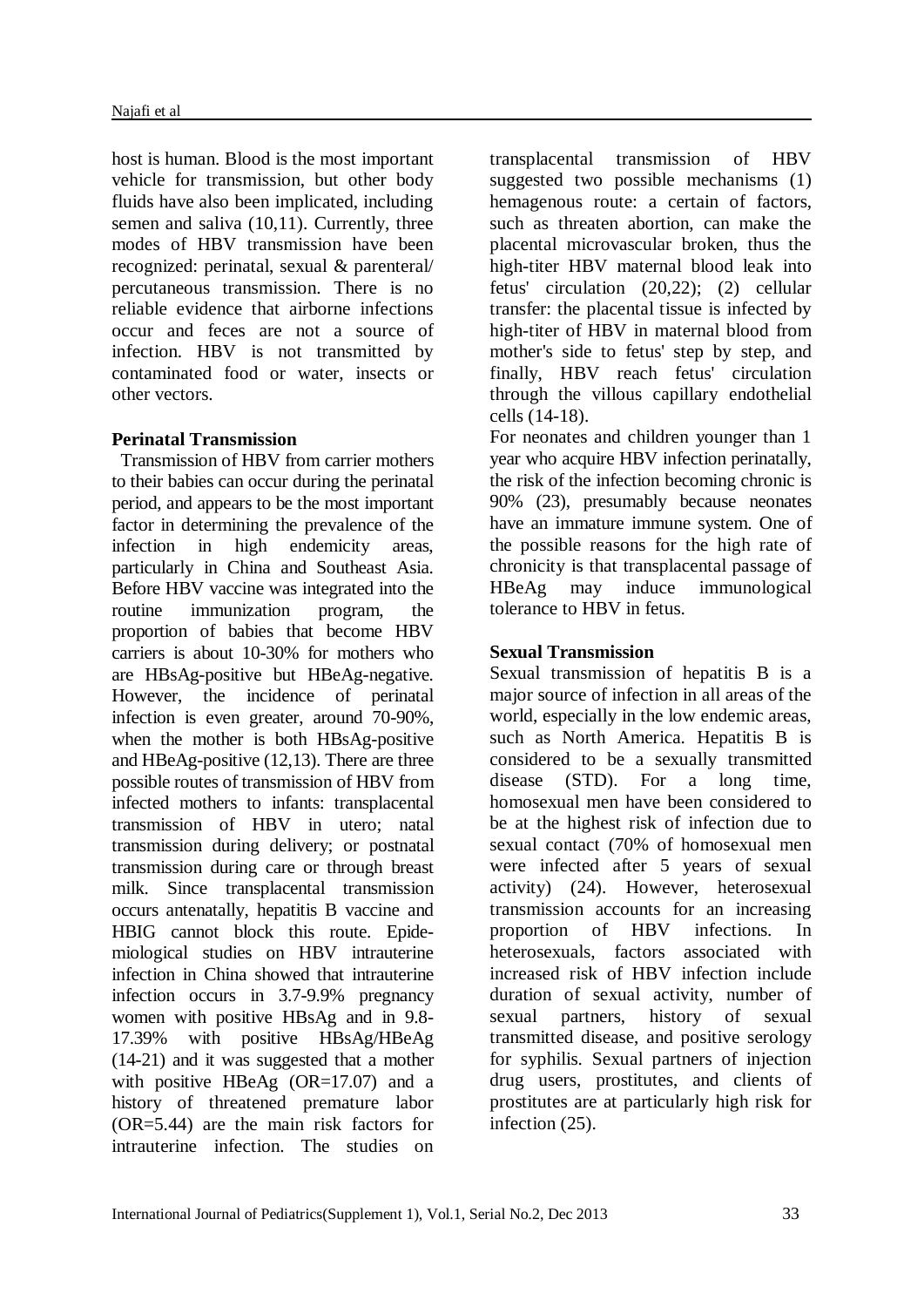host is human. Blood is the most important vehicle for transmission, but other body fluids have also been implicated, including semen and saliva [\(10,](http://www.medsci.org/v02p0050.htm#B10)[11\)](http://www.medsci.org/v02p0050.htm#B11). Currently, three modes of HBV transmission have been recognized: perinatal, sexual & parenteral/ percutaneous transmission. There is no reliable evidence that airborne infections occur and feces are not a source of infection. HBV is not transmitted by contaminated food or water, insects or other vectors.

## **Perinatal Transmission**

Transmission of HBV from carrier mothers to their babies can occur during the perinatal period, and appears to be the most important factor in determining the prevalence of the infection in high endemicity areas, particularly in China and Southeast Asia. Before HBV vaccine was integrated into the routine immunization program, the proportion of babies that become HBV carriers is about 10-30% for mothers who are HBsAg-positive but HBeAg-negative. However, the incidence of perinatal infection is even greater, around 70-90%, when the mother is both HBsAg-positive and HBeAg-positive [\(12](http://www.medsci.org/v02p0050.htm#B12)[,13\)](http://www.medsci.org/v02p0050.htm#B13). There are three possible routes of transmission of HBV from infected mothers to infants: transplacental transmission of HBV in utero; natal transmission during delivery; or postnatal transmission during care or through breast milk. Since transplacental transmission occurs antenatally, hepatitis B vaccine and HBIG cannot block this route. Epidemiological studies on HBV intrauterine infection in China showed that intrauterine infection occurs in 3.7-9.9% pregnancy women with positive HBsAg and in 9.8- 17.39% with positive HBsAg/HBeAg [\(14-](http://www.medsci.org/v02p0050.htm#B14)[21\)](http://www.medsci.org/v02p0050.htm#B21) and it was suggested that a mother with positive HBeAg (OR=17.07) and a history of threatened premature labor (OR=5.44) are the main risk factors for intrauterine infection. The studies on

transplacental transmission of HBV suggested two possible mechanisms (1) hemagenous route: a certain of factors, such as threaten abortion, can make the placental microvascular broken, thus the high-titer HBV maternal blood leak into fetus' circulation [\(20](http://www.medsci.org/v02p0050.htm#B20)[,22\)](http://www.medsci.org/v02p0050.htm#B22); (2) cellular transfer: the placental tissue is infected by high-titer of HBV in maternal blood from mother's side to fetus' step by step, and finally, HBV reach fetus' circulation through the villous capillary endothelial cells [\(14](http://www.medsci.org/v02p0050.htm#B14)[-18\)](http://www.medsci.org/v02p0050.htm#B18).

For neonates and children younger than 1 year who acquire HBV infection perinatally, the risk of the infection becoming chronic is 90% [\(23\)](http://www.medsci.org/v02p0050.htm#B23), presumably because neonates have an immature immune system. One of the possible reasons for the high rate of chronicity is that transplacental passage of HBeAg may induce immunological tolerance to HBV in fetus.

## **Sexual Transmission**

Sexual transmission of hepatitis B is a major source of infection in all areas of the world, especially in the low endemic areas, such as North America. Hepatitis B is considered to be a sexually transmitted disease (STD). For a long time, homosexual men have been considered to be at the highest risk of infection due to sexual contact (70% of homosexual men were infected after 5 years of sexual activity) [\(24\)](http://www.medsci.org/v02p0050.htm#B24). However, heterosexual transmission accounts for an increasing proportion of HBV infections. In heterosexuals, factors associated with increased risk of HBV infection include duration of sexual activity, number of sexual partners, history of sexual transmitted disease, and positive serology for syphilis. Sexual partners of injection drug users, prostitutes, and clients of prostitutes are at particularly high risk for infection [\(25\)](http://www.medsci.org/v02p0050.htm#B25).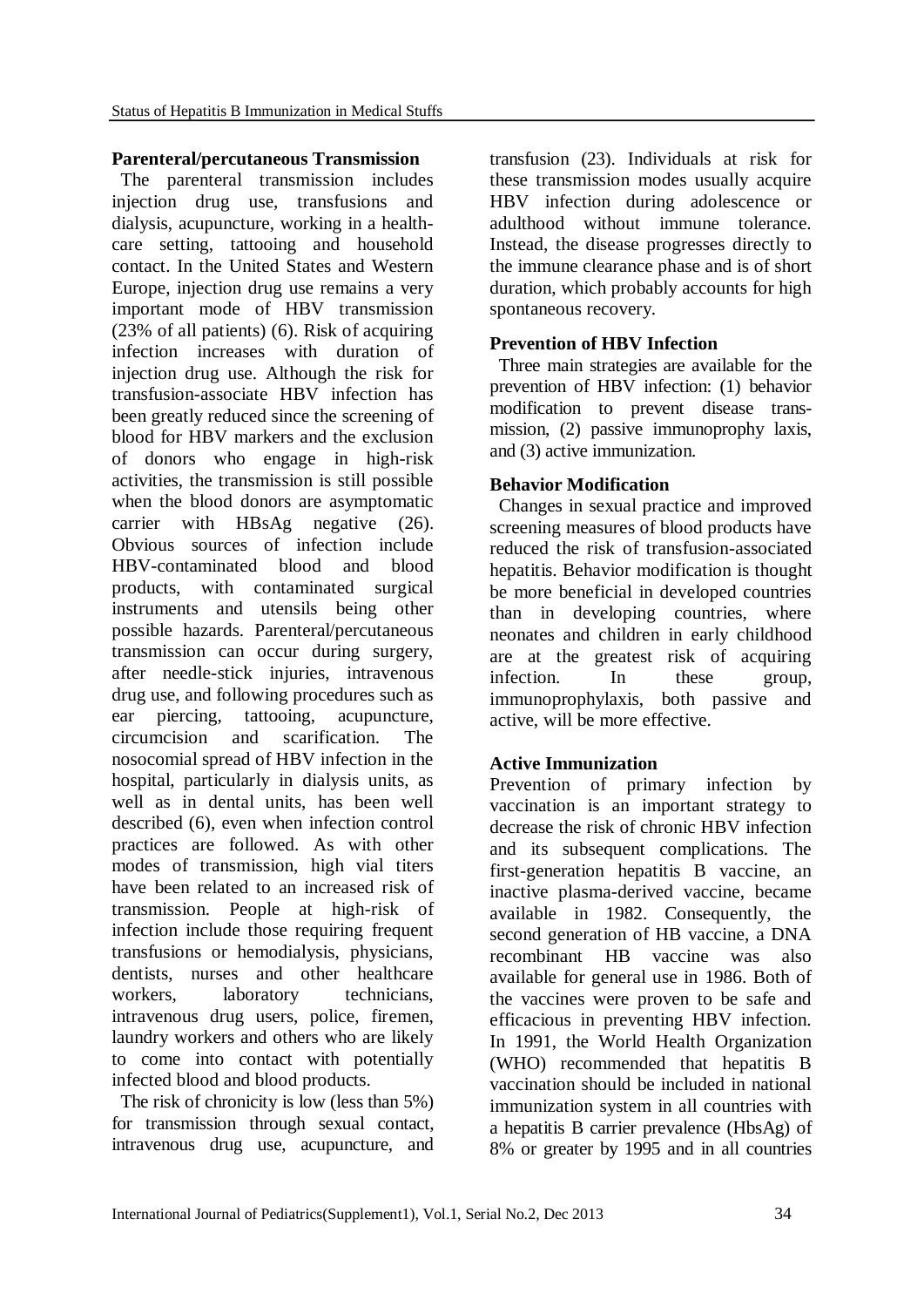### **Parenteral/percutaneous Transmission**

The parenteral transmission includes injection drug use, transfusions and dialysis, acupuncture, working in a healthcare setting, tattooing and household contact. In the United States and Western Europe, injection drug use remains a very important mode of HBV transmission (23% of all patients) [\(6\)](http://www.medsci.org/v02p0050.htm#B6). Risk of acquiring infection increases with duration of injection drug use. Although the risk for transfusion-associate HBV infection has been greatly reduced since the screening of blood for HBV markers and the exclusion of donors who engage in high-risk activities, the transmission is still possible when the blood donors are asymptomatic carrier with HBsAg negative [\(26\)](http://www.medsci.org/v02p0050.htm#B26). Obvious sources of infection include HBV-contaminated blood and blood products, with contaminated surgical instruments and utensils being other possible hazards. Parenteral/percutaneous transmission can occur during surgery, after needle-stick injuries, intravenous drug use, and following procedures such as ear piercing, tattooing, acupuncture, circumcision and scarification. The nosocomial spread of HBV infection in the hospital, particularly in dialysis units, as well as in dental units, has been well described [\(6\)](http://www.medsci.org/v02p0050.htm#B6), even when infection control practices are followed. As with other modes of transmission, high vial titers have been related to an increased risk of transmission. People at high-risk of infection include those requiring frequent transfusions or hemodialysis, physicians, dentists, nurses and other healthcare workers, laboratory technicians, intravenous drug users, police, firemen, laundry workers and others who are likely to come into contact with potentially infected blood and blood products.

The risk of chronicity is low (less than 5%) for transmission through sexual contact, intravenous drug use, acupuncture, and transfusion [\(23\)](http://www.medsci.org/v02p0050.htm#B23). Individuals at risk for these transmission modes usually acquire HBV infection during adolescence or adulthood without immune tolerance. Instead, the disease progresses directly to the immune clearance phase and is of short duration, which probably accounts for high spontaneous recovery.

## **Prevention of HBV Infection**

Three main strategies are available for the prevention of HBV infection: (1) behavior modification to prevent disease transmission, (2) passive immunoprophy laxis, and (3) active immunization.

## **Behavior Modification**

Changes in sexual practice and improved screening measures of blood products have reduced the risk of transfusion-associated hepatitis. Behavior modification is thought be more beneficial in developed countries than in developing countries, where neonates and children in early childhood are at the greatest risk of acquiring infection. In these group, immunoprophylaxis, both passive and active, will be more effective.

# **Active Immunization**

Prevention of primary infection by vaccination is an important strategy to decrease the risk of chronic HBV infection and its subsequent complications. The first-generation hepatitis B vaccine, an inactive plasma-derived vaccine, became available in 1982. Consequently, the second generation of HB vaccine, a DNA recombinant HB vaccine was also available for general use in 1986. Both of the vaccines were proven to be safe and efficacious in preventing HBV infection. In 1991, the World Health Organization (WHO) recommended that hepatitis B vaccination should be included in national immunization system in all countries with a hepatitis B carrier prevalence (HbsAg) of 8% or greater by 1995 and in all countries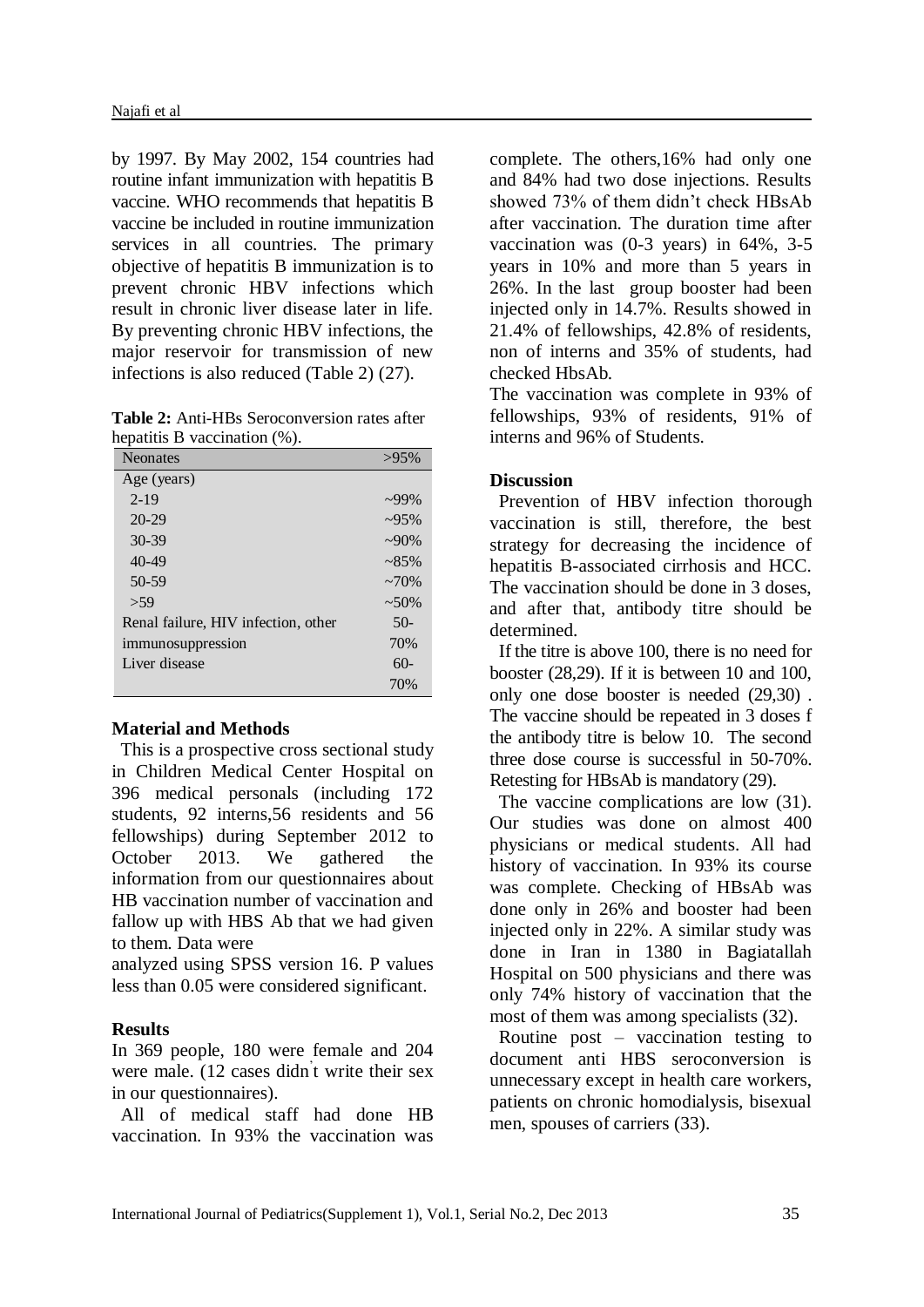by 1997. By May 2002, 154 countries had routine infant immunization with hepatitis B vaccine. WHO recommends that hepatitis B [vaccine](http://www.who.int/csr/disease/hepatitis/whocdscsrlyo20022/en/index7.html#vaccine) be included in routine immunization services in all countries. The primary objective of hepatitis B immunization is to prevent chronic HBV infections which result in chronic liver disease later in life. By preventing chronic HBV infections, the major reservoir for transmission of new infections is also reduced (Table 2) [\(27\)](http://www.medsci.org/v02p0050.htm#B69).

**Table 2:** Anti-HBs Seroconversion rates after hepatitis B vaccination (%).

| <b>Neonates</b>                     | $>95\%$     |
|-------------------------------------|-------------|
| Age (years)                         |             |
| $2 - 19$                            | $299\%$     |
| $20 - 29$                           | $\sim 95\%$ |
| $30 - 39$                           | $-90\%$     |
| $40 - 49$                           | $~285\%$    |
| $50-59$                             | $~270\%$    |
| > 59                                | $~1.50\%$   |
| Renal failure, HIV infection, other | $50-$       |
| immunosuppression                   | 70%         |
| Liver disease                       | $60-$       |
|                                     | 70%         |

#### **Material and Methods**

This is a prospective cross sectional study in Children Medical Center Hospital on 396 medical personals (including 172 students, 92 interns,56 residents and 56 fellowships) during September 2012 to October 2013. We gathered the information from our questionnaires about HB vaccination number of vaccination and fallow up with HBS Ab that we had given to them. Data were

analyzed using SPSS version 16. P values less than 0.05 were considered significant.

# **Results**

In 369 people, 180 were female and 204 were male. (12 cases didn' t write their sex in our questionnaires).

All of medical staff had done HB vaccination. In 93% the vaccination was

complete. The others,16% had only one and 84% had two dose injections. Results showed 73% of them didn't check HBsAb after vaccination. The duration time after vaccination was (0-3 years) in 64%, 3-5 years in 10% and more than 5 years in 26%. In the last group booster had been injected only in 14.7%. Results showed in 21.4% of fellowships, 42.8% of residents, non of interns and 35% of students, had checked HbsAb.

The vaccination was complete in 93% of fellowships, 93% of residents, 91% of interns and 96% of Students.

# **Discussion**

Prevention of HBV infection thorough vaccination is still, therefore, the best strategy for decreasing the incidence of hepatitis B-associated cirrhosis and HCC. The vaccination should be done in 3 doses, and after that, antibody titre should be determined.

If the titre is above 100, there is no need for booster (28,29). If it is between 10 and 100, only one dose booster is needed (29,30) . The vaccine should be repeated in 3 doses f the antibody titre is below 10. The second three dose course is successful in 50-70%. Retesting for HBsAb is mandatory (29).

The vaccine complications are low (31). Our studies was done on almost 400 physicians or medical students. All had history of vaccination. In 93% its course was complete. Checking of HBsAb was done only in 26% and booster had been injected only in 22%. A similar study was done in Iran in 1380 in Bagiatallah Hospital on 500 physicians and there was only 74% history of vaccination that the most of them was among specialists (32).

Routine post – vaccination testing to document anti HBS seroconversion is unnecessary except in health care workers, patients on chronic homodialysis, bisexual men, spouses of carriers (33).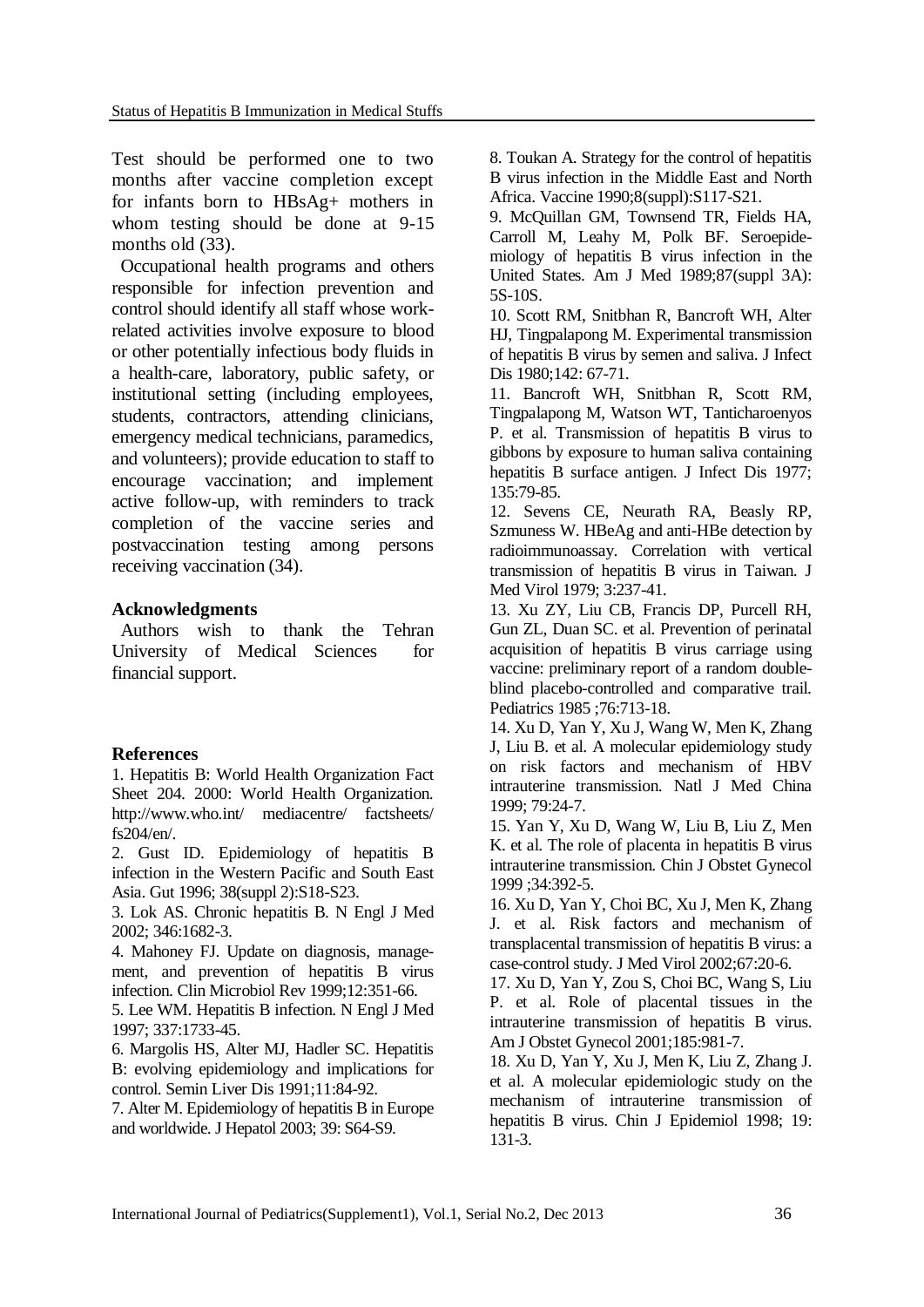Test should be performed one to two months after vaccine completion except for infants born to HBsAg+ mothers in whom testing should be done at 9-15 months old  $(33)$ .

Occupational health programs and others responsible for infection prevention and control should identify all staff whose workrelated activities involve exposure to blood or other potentially infectious body fluids in a health-care, laboratory, public safety, or institutional setting (including employees, students, contractors, attending clinicians, emergency medical technicians, paramedics, and volunteers); provide education to staff to encourage vaccination; and implement active follow-up, with reminders to track completion of the vaccine series and postvaccination testing among persons receiving vaccination [\(34\)](http://www.cdc.gov/mmwr/preview/mmwrhtml/rr5011a1.htm).

## **Acknowledgments**

Authors wish to thank the Tehran University of Medical Sciences for financial support.

#### **References**

1. Hepatitis B: World Health Organization Fact Sheet 204. 2000: World Health Organization. [http://www.who.int/ mediacentre/ factsheets/](http://www.who.int/%20mediacentre/%20factsheets/fs204/en/) [fs204/en/.](http://www.who.int/%20mediacentre/%20factsheets/fs204/en/)

2. Gust ID. Epidemiology of hepatitis B infection in the Western Pacific and South East Asia. Gut 1996; 38(suppl 2):S18-S23.

3. Lok AS. Chronic hepatitis B. N Engl J Med 2002; 346:1682-3.

4. Mahoney FJ. Update on diagnosis, management, and prevention of hepatitis B virus infection. Clin Microbiol Rev 1999;12:351-66.

5. Lee WM. Hepatitis B infection. N Engl J Med 1997; 337:1733-45.

6. Margolis HS, Alter MJ, Hadler SC. Hepatitis B: evolving epidemiology and implications for control. Semin Liver Dis 1991;11:84-92.

7. Alter M. Epidemiology of hepatitis B in Europe and worldwide. J Hepatol 2003; 39: S64-S9.

8. Toukan A. Strategy for the control of hepatitis B virus infection in the Middle East and North Africa. Vaccine 1990;8(suppl):S117-S21.

9. McQuillan GM, Townsend TR, Fields HA, Carroll M, Leahy M, Polk BF. Seroepidemiology of hepatitis B virus infection in the United States. Am J Med 1989;87(suppl 3A): 5S-10S.

10. Scott RM, Snitbhan R, Bancroft WH, Alter HJ, Tingpalapong M. Experimental transmission of hepatitis B virus by semen and saliva. J Infect Dis 1980;142: 67-71.

11. Bancroft WH, Snitbhan R, Scott RM, Tingpalapong M, Watson WT, Tanticharoenyos P. et al. Transmission of hepatitis B virus to gibbons by exposure to human saliva containing hepatitis B surface antigen. J Infect Dis 1977; 135:79-85.

12. Sevens CE, Neurath RA, Beasly RP, Szmuness W. HBeAg and anti-HBe detection by radioimmunoassay. Correlation with vertical transmission of hepatitis B virus in Taiwan. J Med Virol 1979; 3:237-41.

13. Xu ZY, Liu CB, Francis DP, Purcell RH, Gun ZL, Duan SC. et al. Prevention of perinatal acquisition of hepatitis B virus carriage using vaccine: preliminary report of a random doubleblind placebo-controlled and comparative trail. Pediatrics 1985 ;76:713-18.

14. Xu D, Yan Y, Xu J, Wang W, Men K, Zhang J, Liu B. et al. A molecular epidemiology study on risk factors and mechanism of HBV intrauterine transmission. Natl J Med China 1999; 79:24-7.

15. Yan Y, Xu D, Wang W, Liu B, Liu Z, Men K. et al. The role of placenta in hepatitis B virus intrauterine transmission. Chin J Obstet Gynecol 1999 ;34:392-5.

16. Xu D, Yan Y, Choi BC, Xu J, Men K, Zhang J. et al. Risk factors and mechanism of transplacental transmission of hepatitis B virus: a case-control study. J Med Virol 2002;67:20-6.

17. Xu D, Yan Y, Zou S, Choi BC, Wang S, Liu P. et al. Role of placental tissues in the intrauterine transmission of hepatitis B virus. Am J Obstet Gynecol 2001;185:981-7.

18. Xu D, Yan Y, Xu J, Men K, Liu Z, Zhang J. et al. A molecular epidemiologic study on the mechanism of intrauterine transmission of hepatitis B virus. Chin J Epidemiol 1998; 19: 131-3.